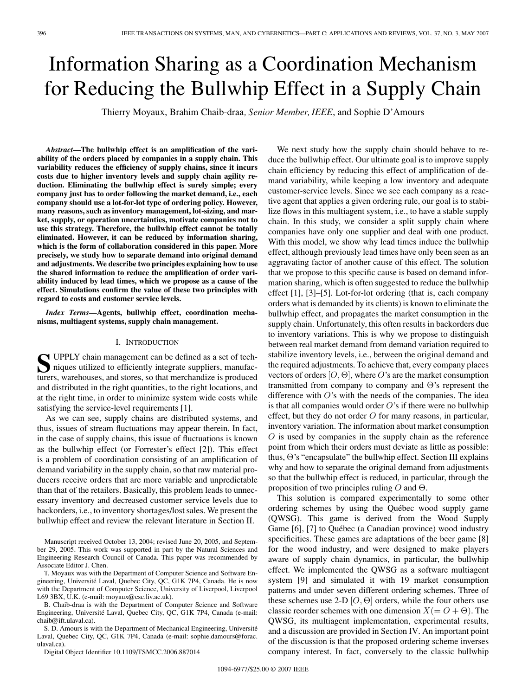# Information Sharing as a Coordination Mechanism for Reducing the Bullwhip Effect in a Supply Chain

Thierry Moyaux, Brahim Chaib-draa*, Senior Member, IEEE*, and Sophie D'Amours

*Abstract***—The bullwhip effect is an amplification of the variability of the orders placed by companies in a supply chain. This variability reduces the efficiency of supply chains, since it incurs costs due to higher inventory levels and supply chain agility reduction. Eliminating the bullwhip effect is surely simple; every company just has to order following the market demand, i.e., each company should use a lot-for-lot type of ordering policy. However, many reasons, such as inventory management, lot-sizing, and market, supply, or operation uncertainties, motivate companies not to use this strategy. Therefore, the bullwhip effect cannot be totally eliminated. However, it can be reduced by information sharing, which is the form of collaboration considered in this paper. More precisely, we study how to separate demand into original demand and adjustments. We describe two principles explaining how to use the shared information to reduce the amplification of order variability induced by lead times, which we propose as a cause of the effect. Simulations confirm the value of these two principles with regard to costs and customer service levels.**

*Index Terms***—Agents, bullwhip effect, coordination mechanisms, multiagent systems, supply chain management.**

## I. INTRODUCTION

S UPPLY chain management can be defined as a set of tech-<br>niques utilized to efficiently integrate suppliers, manufac-<br>turers, warehouses, and stores, so that merchandize is produced turers, warehouses, and stores, so that merchandize is produced and distributed in the right quantities, to the right locations, and at the right time, in order to minimize system wide costs while satisfying the service-level requirements [1].

As we can see, supply chains are distributed systems, and thus, issues of stream fluctuations may appear therein. In fact, in the case of supply chains, this issue of fluctuations is known as the bullwhip effect (or Forrester's effect [2]). This effect is a problem of coordination consisting of an amplification of demand variability in the supply chain, so that raw material producers receive orders that are more variable and unpredictable than that of the retailers. Basically, this problem leads to unnecessary inventory and decreased customer service levels due to backorders, i.e., to inventory shortages/lost sales. We present the bullwhip effect and review the relevant literature in Section II.

Manuscript received October 13, 2004; revised June 20, 2005, and September 29, 2005. This work was supported in part by the Natural Sciences and Engineering Research Council of Canada. This paper was recommended by Associate Editor J. Chen.

T. Moyaux was with the Department of Computer Science and Software Engineering, Université Laval, Quebec City, QC, G1K 7P4, Canada. He is now with the Department of Computer Science, University of Liverpool, Liverpool L69 3BX, U.K. (e-mail: moyaux@csc.liv.ac.uk).

B. Chaib-draa is with the Department of Computer Science and Software Engineering, Universite Laval, Quebec City, QC, G1K 7P4, Canada (e-mail: ´ chaib@ift.ulaval.ca).

S. D. Amours is with the Department of Mechanical Engineering, Université Laval, Quebec City, QC, G1K 7P4, Canada (e-mail: sophie.damours@forac. ulaval.ca).

Digital Object Identifier 10.1109/TSMCC.2006.887014

We next study how the supply chain should behave to reduce the bullwhip effect. Our ultimate goal is to improve supply chain efficiency by reducing this effect of amplification of demand variability, while keeping a low inventory and adequate customer-service levels. Since we see each company as a reactive agent that applies a given ordering rule, our goal is to stabilize flows in this multiagent system, i.e., to have a stable supply chain. In this study, we consider a split supply chain where companies have only one supplier and deal with one product. With this model, we show why lead times induce the bullwhip effect, although previously lead times have only been seen as an aggravating factor of another cause of this effect. The solution that we propose to this specific cause is based on demand information sharing, which is often suggested to reduce the bullwhip effect [1], [3]–[5]. Lot-for-lot ordering (that is, each company orders what is demanded by its clients) is known to eliminate the bullwhip effect, and propagates the market consumption in the supply chain. Unfortunately, this often results in backorders due to inventory variations. This is why we propose to distinguish between real market demand from demand variation required to stabilize inventory levels, i.e., between the original demand and the required adjustments. To achieve that, every company places vectors of orders  $[O, \Theta]$ , where O's are the market consumption transmitted from company to company and Θ's represent the difference with  $O$ 's with the needs of the companies. The idea is that all companies would order  $O$ 's if there were no bullwhip effect, but they do not order  $O$  for many reasons, in particular, inventory variation. The information about market consumption  $O$  is used by companies in the supply chain as the reference point from which their orders must deviate as little as possible: thus,  $\Theta$ 's "encapsulate" the bullwhip effect. Section III explains why and how to separate the original demand from adjustments so that the bullwhip effect is reduced, in particular, through the proposition of two principles ruling  $O$  and  $\Theta$ .

This solution is compared experimentally to some other ordering schemes by using the Québec wood supply game (QWSG). This game is derived from the Wood Supply Game [6], [7] to Québec (a Canadian province) wood industry specificities. These games are adaptations of the beer game [8] for the wood industry, and were designed to make players aware of supply chain dynamics, in particular, the bullwhip effect. We implemented the QWSG as a software multiagent system [9] and simulated it with 19 market consumption patterns and under seven different ordering schemes. Three of these schemes use 2-D  $[O, \Theta]$  orders, while the four others use classic reorder schemes with one dimension  $X(= O + \Theta)$ . The QWSG, its multiagent implementation, experimental results, and a discussion are provided in Section IV. An important point of the discussion is that the proposed ordering scheme inverses company interest. In fact, conversely to the classic bullwhip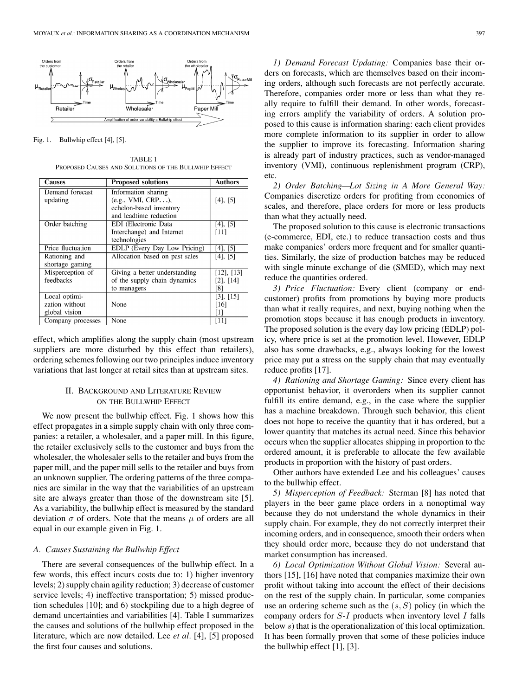

Fig. 1. Bullwhip effect [4], [5].

TABLE 1 PROPOSED CAUSES AND SOLUTIONS OF THE BULLWHIP EFFECT

| <b>Causes</b>     | <b>Proposed solutions</b>      | <b>Authors</b>  |
|-------------------|--------------------------------|-----------------|
| Demand forecast   | Information sharing            |                 |
| updating          | (e.g., VMI, CRP),              | [4], [5]        |
|                   | echelon-based inventory        |                 |
|                   | and leadtime reduction         |                 |
| Order batching    | EDI (Electronic Data           | [4], [5]        |
|                   | Interchange) and Internet      | [11]            |
|                   | technologies                   |                 |
| Price fluctuation | EDLP (Every Day Low Pricing)   | [4], [5]        |
| Rationing and     | Allocation based on past sales | [4], [5]        |
| shortage gaming   |                                |                 |
| Misperception of  | Giving a better understanding  | $[12]$ , $[13]$ |
| feedbacks         | of the supply chain dynamics   | $[2]$ , $[14]$  |
|                   | to managers                    | [8]             |
| Local optimi-     |                                | [3], [15]       |
| zation without    | None                           | [16]            |
| global vision     |                                | [1]             |
| Company processes | None                           | [11]            |

effect, which amplifies along the supply chain (most upstream suppliers are more disturbed by this effect than retailers), ordering schemes following our two principles induce inventory variations that last longer at retail sites than at upstream sites.

# II. BACKGROUND AND LITERATURE REVIEW ON THE BULLWHIP EFFECT

We now present the bullwhip effect. Fig. 1 shows how this effect propagates in a simple supply chain with only three companies: a retailer, a wholesaler, and a paper mill. In this figure, the retailer exclusively sells to the customer and buys from the wholesaler, the wholesaler sells to the retailer and buys from the paper mill, and the paper mill sells to the retailer and buys from an unknown supplier. The ordering patterns of the three companies are similar in the way that the variabilities of an upstream site are always greater than those of the downstream site [5]. As a variability, the bullwhip effect is measured by the standard deviation  $\sigma$  of orders. Note that the means  $\mu$  of orders are all equal in our example given in Fig. 1.

# *A. Causes Sustaining the Bullwhip Effect*

There are several consequences of the bullwhip effect. In a few words, this effect incurs costs due to: 1) higher inventory levels; 2) supply chain agility reduction; 3) decrease of customer service levels; 4) ineffective transportation; 5) missed production schedules [10]; and 6) stockpiling due to a high degree of demand uncertainties and variabilities [4]. Table I summarizes the causes and solutions of the bullwhip effect proposed in the literature, which are now detailed. Lee *et al.* [4], [5] proposed the first four causes and solutions.

*1) Demand Forecast Updating:* Companies base their orders on forecasts, which are themselves based on their incoming orders, although such forecasts are not perfectly accurate. Therefore, companies order more or less than what they really require to fulfill their demand. In other words, forecasting errors amplify the variability of orders. A solution proposed to this cause is information sharing: each client provides more complete information to its supplier in order to allow the supplier to improve its forecasting. Information sharing is already part of industry practices, such as vendor-managed inventory (VMI), continuous replenishment program (CRP), etc.

*2) Order Batching—Lot Sizing in A More General Way:* Companies discretize orders for profiting from economies of scales, and therefore, place orders for more or less products than what they actually need.

The proposed solution to this cause is electronic transactions (e-commerce, EDI, etc.) to reduce transaction costs and thus make companies' orders more frequent and for smaller quantities. Similarly, the size of production batches may be reduced with single minute exchange of die (SMED), which may next reduce the quantities ordered.

*3) Price Fluctuation:* Every client (company or endcustomer) profits from promotions by buying more products than what it really requires, and next, buying nothing when the promotion stops because it has enough products in inventory. The proposed solution is the every day low pricing (EDLP) policy, where price is set at the promotion level. However, EDLP also has some drawbacks, e.g., always looking for the lowest price may put a stress on the supply chain that may eventually reduce profits [17].

*4) Rationing and Shortage Gaming:* Since every client has opportunist behavior, it overorders when its supplier cannot fulfill its entire demand, e.g., in the case where the supplier has a machine breakdown. Through such behavior, this client does not hope to receive the quantity that it has ordered, but a lower quantity that matches its actual need. Since this behavior occurs when the supplier allocates shipping in proportion to the ordered amount, it is preferable to allocate the few available products in proportion with the history of past orders.

Other authors have extended Lee and his colleagues' causes to the bullwhip effect.

*5) Misperception of Feedback:* Sterman [8] has noted that players in the beer game place orders in a nonoptimal way because they do not understand the whole dynamics in their supply chain. For example, they do not correctly interpret their incoming orders, and in consequence, smooth their orders when they should order more, because they do not understand that market consumption has increased.

*6) Local Optimization Without Global Vision:* Several authors [15], [16] have noted that companies maximize their own profit without taking into account the effect of their decisions on the rest of the supply chain. In particular, some companies use an ordering scheme such as the  $(s, S)$  policy (in which the company orders for  $S-I$  products when inventory level  $I$  falls below s) that is the operationalization of this local optimization. It has been formally proven that some of these policies induce the bullwhip effect [1], [3].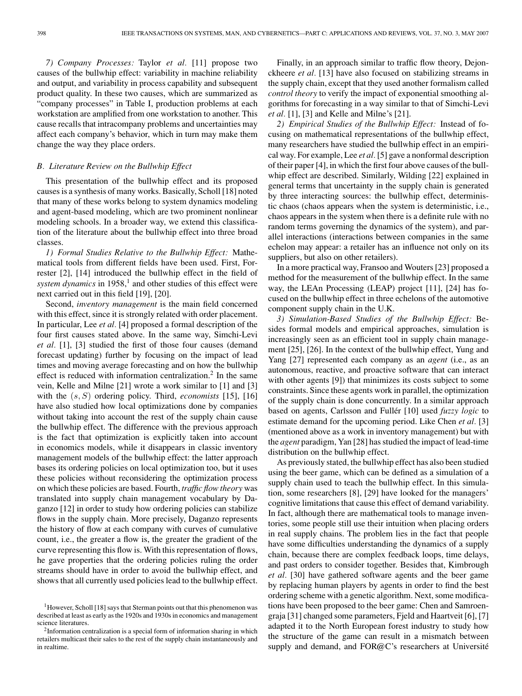*7) Company Processes:* Taylor *et al.* [11] propose two causes of the bullwhip effect: variability in machine reliability and output, and variability in process capability and subsequent product quality. In these two causes, which are summarized as "company processes" in Table I, production problems at each workstation are amplified from one workstation to another. This cause recalls that intracompany problems and uncertainties may affect each company's behavior, which in turn may make them change the way they place orders.

## *B. Literature Review on the Bullwhip Effect*

This presentation of the bullwhip effect and its proposed causes is a synthesis of many works. Basically, Scholl [18] noted that many of these works belong to system dynamics modeling and agent-based modeling, which are two prominent nonlinear modeling schools. In a broader way, we extend this classification of the literature about the bullwhip effect into three broad classes.

*1) Formal Studies Relative to the Bullwhip Effect:* Mathematical tools from different fields have been used. First, Forrester [2], [14] introduced the bullwhip effect in the field of *system dynamics* in  $1958$ ,<sup>1</sup> and other studies of this effect were next carried out in this field [19], [20].

Second, *inventory management* is the main field concerned with this effect, since it is strongly related with order placement. In particular, Lee *et al.* [4] proposed a formal description of the four first causes stated above. In the same way, Simchi-Levi *et al.* [1], [3] studied the first of those four causes (demand forecast updating) further by focusing on the impact of lead times and moving average forecasting and on how the bullwhip effect is reduced with information centralization.<sup>2</sup> In the same vein, Kelle and Milne [21] wrote a work similar to [1] and [3] with the (s, S) ordering policy. Third, *economists* [15], [16] have also studied how local optimizations done by companies without taking into account the rest of the supply chain cause the bullwhip effect. The difference with the previous approach is the fact that optimization is explicitly taken into account in economics models, while it disappears in classic inventory management models of the bullwhip effect: the latter approach bases its ordering policies on local optimization too, but it uses these policies without reconsidering the optimization process on which these policies are based. Fourth, *traffic flow theory* was translated into supply chain management vocabulary by Daganzo [12] in order to study how ordering policies can stabilize flows in the supply chain. More precisely, Daganzo represents the history of flow at each company with curves of cumulative count, i.e., the greater a flow is, the greater the gradient of the curve representing this flow is. With this representation of flows, he gave properties that the ordering policies ruling the order streams should have in order to avoid the bullwhip effect, and shows that all currently used policies lead to the bullwhip effect.

Finally, in an approach similar to traffic flow theory, Dejonckheere *et al.* [13] have also focused on stabilizing streams in the supply chain, except that they used another formalism called *control theory* to verify the impact of exponential smoothing algorithms for forecasting in a way similar to that of Simchi-Levi *et al.* [1], [3] and Kelle and Milne's [21].

*2) Empirical Studies of the Bullwhip Effect:* Instead of focusing on mathematical representations of the bullwhip effect, many researchers have studied the bullwhip effect in an empirical way. For example, Lee *et al.* [5] gave a nonformal description of their paper [4], in which the first four above causes of the bullwhip effect are described. Similarly, Wilding [22] explained in general terms that uncertainty in the supply chain is generated by three interacting sources: the bullwhip effect, deterministic chaos (chaos appears when the system is deterministic, i.e., chaos appears in the system when there is a definite rule with no random terms governing the dynamics of the system), and parallel interactions (interactions between companies in the same echelon may appear: a retailer has an influence not only on its suppliers, but also on other retailers).

In a more practical way, Fransoo and Wouters [23] proposed a method for the measurement of the bullwhip effect. In the same way, the LEAn Processing (LEAP) project [11], [24] has focused on the bullwhip effect in three echelons of the automotive component supply chain in the U.K.

*3) Simulation-Based Studies of the Bullwhip Effect:* Besides formal models and empirical approaches, simulation is increasingly seen as an efficient tool in supply chain management [25], [26]. In the context of the bullwhip effect, Yung and Yang [27] represented each company as an *agent* (i.e., as an autonomous, reactive, and proactive software that can interact with other agents [9]) that minimizes its costs subject to some constraints. Since these agents work in parallel, the optimization of the supply chain is done concurrently. In a similar approach based on agents, Carlsson and Fullér [10] used *fuzzy logic* to estimate demand for the upcoming period. Like Chen *et al.* [3] (mentioned above as a work in inventory management) but with the *agent* paradigm, Yan [28] has studied the impact of lead-time distribution on the bullwhip effect.

As previously stated, the bullwhip effect has also been studied using the beer game, which can be defined as a simulation of a supply chain used to teach the bullwhip effect. In this simulation, some researchers [8], [29] have looked for the managers' cognitive limitations that cause this effect of demand variability. In fact, although there are mathematical tools to manage inventories, some people still use their intuition when placing orders in real supply chains. The problem lies in the fact that people have some difficulties understanding the dynamics of a supply chain, because there are complex feedback loops, time delays, and past orders to consider together. Besides that, Kimbrough *et al.* [30] have gathered software agents and the beer game by replacing human players by agents in order to find the best ordering scheme with a genetic algorithm. Next, some modifications have been proposed to the beer game: Chen and Samroengraja [31] changed some parameters, Fjeld and Haartveit [6], [7] adapted it to the North European forest industry to study how the structure of the game can result in a mismatch between supply and demand, and FOR@C's researchers at Université

<sup>&</sup>lt;sup>1</sup>However, Scholl [18] says that Sterman points out that this phenomenon was described at least as early as the 1920s and 1930s in economics and management science literatures.<br><sup>2</sup>Information centralization is a special form of information sharing in which

retailers multicast their sales to the rest of the supply chain instantaneously and in realtime.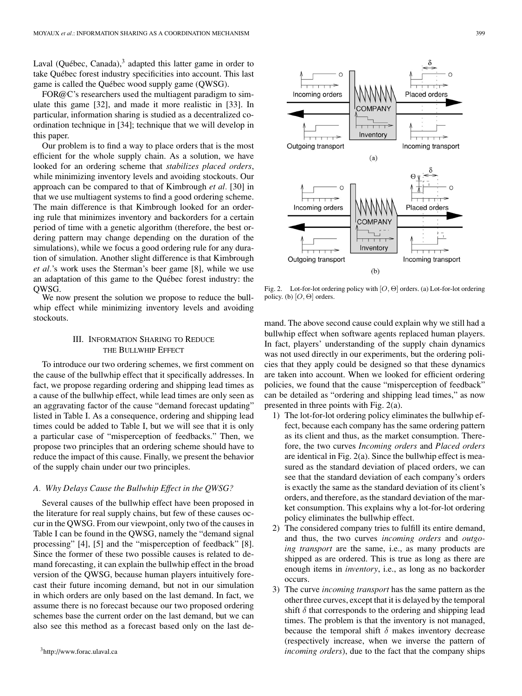Laval (Québec, Canada), $3$  adapted this latter game in order to take Québec forest industry specificities into account. This last game is called the Québec wood supply game (QWSG).

FOR@C's researchers used the multiagent paradigm to simulate this game [32], and made it more realistic in [33]. In particular, information sharing is studied as a decentralized coordination technique in [34]; technique that we will develop in this paper.

Our problem is to find a way to place orders that is the most efficient for the whole supply chain. As a solution, we have looked for an ordering scheme that *stabilizes placed orders*, while minimizing inventory levels and avoiding stockouts. Our approach can be compared to that of Kimbrough *et al.* [30] in that we use multiagent systems to find a good ordering scheme. The main difference is that Kimbrough looked for an ordering rule that minimizes inventory and backorders for a certain period of time with a genetic algorithm (therefore, the best ordering pattern may change depending on the duration of the simulations), while we focus a good ordering rule for any duration of simulation. Another slight difference is that Kimbrough *et al.*'s work uses the Sterman's beer game [8], while we use an adaptation of this game to the Québec forest industry: the QWSG.

We now present the solution we propose to reduce the bullwhip effect while minimizing inventory levels and avoiding stockouts.

# III. INFORMATION SHARING TO REDUCE THE BULLWHIP EFFECT

To introduce our two ordering schemes, we first comment on the cause of the bullwhip effect that it specifically addresses. In fact, we propose regarding ordering and shipping lead times as a cause of the bullwhip effect, while lead times are only seen as an aggravating factor of the cause "demand forecast updating" listed in Table I. As a consequence, ordering and shipping lead times could be added to Table I, but we will see that it is only a particular case of "misperception of feedbacks." Then, we propose two principles that an ordering scheme should have to reduce the impact of this cause. Finally, we present the behavior of the supply chain under our two principles.

## *A. Why Delays Cause the Bullwhip Effect in the QWSG?*

Several causes of the bullwhip effect have been proposed in the literature for real supply chains, but few of these causes occur in the QWSG. From our viewpoint, only two of the causes in Table I can be found in the QWSG, namely the "demand signal processing" [4], [5] and the "misperception of feedback" [8]. Since the former of these two possible causes is related to demand forecasting, it can explain the bullwhip effect in the broad version of the QWSG, because human players intuitively forecast their future incoming demand, but not in our simulation in which orders are only based on the last demand. In fact, we assume there is no forecast because our two proposed ordering schemes base the current order on the last demand, but we can also see this method as a forecast based only on the last de-



Fig. 2. Lot-for-lot ordering policy with [O, Θ] orders. (a) Lot-for-lot ordering policy. (b)  $[O, \Theta]$  orders.

mand. The above second cause could explain why we still had a bullwhip effect when software agents replaced human players. In fact, players' understanding of the supply chain dynamics was not used directly in our experiments, but the ordering policies that they apply could be designed so that these dynamics are taken into account. When we looked for efficient ordering policies, we found that the cause "misperception of feedback" can be detailed as "ordering and shipping lead times," as now presented in three points with Fig. 2(a).

- 1) The lot-for-lot ordering policy eliminates the bullwhip effect, because each company has the same ordering pattern as its client and thus, as the market consumption. Therefore, the two curves *Incoming orders* and *Placed orders* are identical in Fig. 2(a). Since the bullwhip effect is measured as the standard deviation of placed orders, we can see that the standard deviation of each company's orders is exactly the same as the standard deviation of its client's orders, and therefore, as the standard deviation of the market consumption. This explains why a lot-for-lot ordering policy eliminates the bullwhip effect.
- 2) The considered company tries to fulfill its entire demand, and thus, the two curves *incoming orders* and *outgoing transport* are the same, i.e., as many products are shipped as are ordered. This is true as long as there are enough items in *inventory*, i.e., as long as no backorder occurs.
- 3) The curve *incoming transport* has the same pattern as the other three curves, except that it is delayed by the temporal shift  $\delta$  that corresponds to the ordering and shipping lead times. The problem is that the inventory is not managed, because the temporal shift  $\delta$  makes inventory decrease (respectively increase, when we inverse the pattern of *incoming orders*), due to the fact that the company ships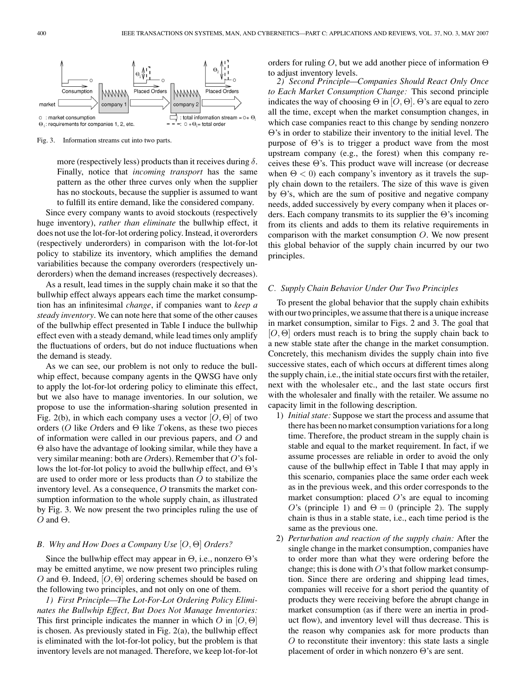

Fig. 3. Information streams cut into two parts.

more (respectively less) products than it receives during  $\delta$ . Finally, notice that *incoming transport* has the same pattern as the other three curves only when the supplier has no stockouts, because the supplier is assumed to want to fulfill its entire demand, like the considered company.

Since every company wants to avoid stockouts (respectively huge inventory), *rather than eliminate* the bullwhip effect, it does not use the lot-for-lot ordering policy. Instead, it overorders (respectively underorders) in comparison with the lot-for-lot policy to stabilize its inventory, which amplifies the demand variabilities because the company overorders (respectively underorders) when the demand increases (respectively decreases).

As a result, lead times in the supply chain make it so that the bullwhip effect always appears each time the market consumption has an infinitesimal *change*, if companies want to *keep a steady inventory*. We can note here that some of the other causes of the bullwhip effect presented in Table I induce the bullwhip effect even with a steady demand, while lead times only amplify the fluctuations of orders, but do not induce fluctuations when the demand is steady.

As we can see, our problem is not only to reduce the bullwhip effect, because company agents in the QWSG have only to apply the lot-for-lot ordering policy to eliminate this effect, but we also have to manage inventories. In our solution, we propose to use the information-sharing solution presented in Fig. 2(b), in which each company uses a vector  $[O, \Theta]$  of two orders (O like Orders and  $\Theta$  like Tokens, as these two pieces of information were called in our previous papers, and O and Θ also have the advantage of looking similar, while they have a very similar meaning: both are Orders). Remember that  $O$ 's follows the lot-for-lot policy to avoid the bullwhip effect, and Θ's are used to order more or less products than O to stabilize the inventory level. As a consequence, O transmits the market consumption information to the whole supply chain, as illustrated by Fig. 3. We now present the two principles ruling the use of  $O$  and  $\Theta$ .

#### *B. Why and How Does a Company Use* [O, Θ] *Orders?*

Since the bullwhip effect may appear in  $\Theta$ , i.e., nonzero  $\Theta$ 's may be emitted anytime, we now present two principles ruling O and Θ. Indeed,  $[O, Θ]$  ordering schemes should be based on the following two principles, and not only on one of them.

*1) First Principle—The Lot-For-Lot Ordering Policy Eliminates the Bullwhip Effect, But Does Not Manage Inventories:* This first principle indicates the manner in which O in  $[O, \Theta]$ is chosen. As previously stated in Fig. 2(a), the bullwhip effect is eliminated with the lot-for-lot policy, but the problem is that inventory levels are not managed. Therefore, we keep lot-for-lot orders for ruling  $O$ , but we add another piece of information  $\Theta$ to adjust inventory levels.

*2) Second Principle—Companies Should React Only Once to Each Market Consumption Change:* This second principle indicates the way of choosing  $\Theta$  in  $[O, \Theta]$ .  $\Theta$ 's are equal to zero all the time, except when the market consumption changes, in which case companies react to this change by sending nonzero Θ's in order to stabilize their inventory to the initial level. The purpose of  $\Theta$ 's is to trigger a product wave from the most upstream company (e.g., the forest) when this company receives these  $\Theta$ 's. This product wave will increase (or decrease when  $\Theta$  < 0) each company's inventory as it travels the supply chain down to the retailers. The size of this wave is given by  $\Theta$ 's, which are the sum of positive and negative company needs, added successively by every company when it places orders. Each company transmits to its supplier the Θ's incoming from its clients and adds to them its relative requirements in comparison with the market consumption O. We now present this global behavior of the supply chain incurred by our two principles.

### *C. Supply Chain Behavior Under Our Two Principles*

To present the global behavior that the supply chain exhibits with our two principles, we assume that there is a unique increase in market consumption, similar to Figs. 2 and 3. The goal that  $[O, \Theta]$  orders must reach is to bring the supply chain back to a new stable state after the change in the market consumption. Concretely, this mechanism divides the supply chain into five successive states, each of which occurs at different times along the supply chain, i.e., the initial state occurs first with the retailer, next with the wholesaler etc., and the last state occurs first with the wholesaler and finally with the retailer. We assume no capacity limit in the following description.

- 1) *Initial state:* Suppose we start the process and assume that there has been no market consumption variations for a long time. Therefore, the product stream in the supply chain is stable and equal to the market requirement. In fact, if we assume processes are reliable in order to avoid the only cause of the bullwhip effect in Table I that may apply in this scenario, companies place the same order each week as in the previous week, and this order corresponds to the market consumption: placed  $O$ 's are equal to incoming O's (principle 1) and  $Θ = 0$  (principle 2). The supply chain is thus in a stable state, i.e., each time period is the same as the previous one.
- 2) *Perturbation and reaction of the supply chain:* After the single change in the market consumption, companies have to order more than what they were ordering before the change; this is done with  $O$ 's that follow market consumption. Since there are ordering and shipping lead times, companies will receive for a short period the quantity of products they were receiving before the abrupt change in market consumption (as if there were an inertia in product flow), and inventory level will thus decrease. This is the reason why companies ask for more products than  $O$  to reconstitute their inventory: this state lasts a single placement of order in which nonzero  $\Theta$ 's are sent.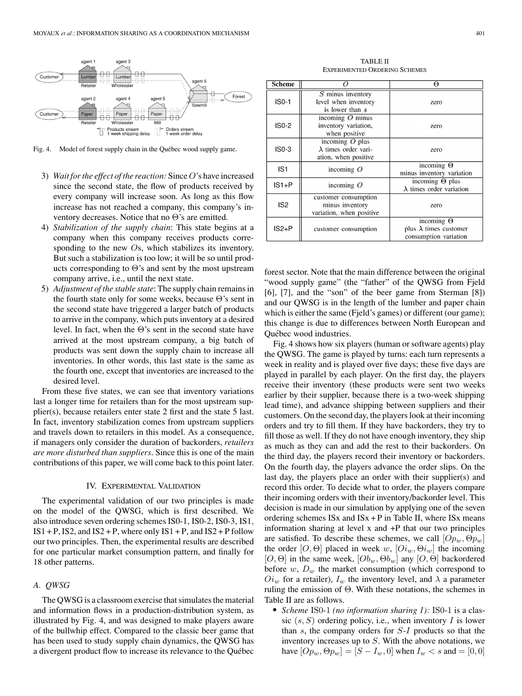

Fig. 4. Model of forest supply chain in the Québec wood supply game.

- 3) *Wait for the effect of the reaction:* Since O's have increased since the second state, the flow of products received by every company will increase soon. As long as this flow increase has not reached a company, this company's inventory decreases. Notice that no  $\Theta$ 's are emitted.
- 4) *Stabilization of the supply chain*: This state begins at a company when this company receives products corresponding to the new *Os*, which stabilizes its inventory. But such a stabilization is too low; it will be so until products corresponding to  $\Theta$ 's and sent by the most upstream company arrive, i.e., until the next state.
- 5) *Adjustment of the stable state*: The supply chain remains in the fourth state only for some weeks, because  $\Theta$ 's sent in the second state have triggered a larger batch of products to arrive in the company, which puts inventory at a desired level. In fact, when the  $\Theta$ 's sent in the second state have arrived at the most upstream company, a big batch of products was sent down the supply chain to increase all inventories. In other words, this last state is the same as the fourth one, except that inventories are increased to the desired level.

From these five states, we can see that inventory variations last a longer time for retailers than for the most upstream supplier(s), because retailers enter state 2 first and the state 5 last. In fact, inventory stabilization comes from upstream suppliers and travels down to retailers in this model. As a consequence, if managers only consider the duration of backorders, *retailers are more disturbed than suppliers*. Since this is one of the main contributions of this paper, we will come back to this point later.

#### IV. EXPERIMENTAL VALIDATION

The experimental validation of our two principles is made on the model of the QWSG, which is first described. We also introduce seven ordering schemes IS0-1, IS0-2, IS0-3, IS1,  $IS1 + P$ , IS2, and IS2 + P, where only  $IS1 + P$ , and  $IS2 + P$  follow our two principles. Then, the experimental results are described for one particular market consumption pattern, and finally for 18 other patterns.

# *A. QWSG*

The QWSG is a classroom exercise that simulates the material and information flows in a production-distribution system, as illustrated by Fig. 4, and was designed to make players aware of the bullwhip effect. Compared to the classic beer game that has been used to study supply chain dynamics, the QWSG has a divergent product flow to increase its relevance to the Québec

TABLE II EXPERIMENTED ORDERING SCHEMES

| <b>Scheme</b>   |                                                                          | Θ                                                                           |  |  |
|-----------------|--------------------------------------------------------------------------|-----------------------------------------------------------------------------|--|--|
| $ISO-1$         | $S$ minus inventory<br>level when inventory<br>is lower than s           | zero                                                                        |  |  |
| $ISO-2$         | incoming $O$ minus<br>inventory variation,<br>when positive              | zero                                                                        |  |  |
| $ISO-3$         | incoming $O$ plus<br>$\lambda$ times order vari-<br>ation, when positive | zero                                                                        |  |  |
| IS <sub>1</sub> | incoming $O$                                                             | incoming $\Theta$<br>minus inventory variation                              |  |  |
| $IS1+P$         | incoming $O$                                                             | incoming $\Theta$ plus<br>$\lambda$ times order variation                   |  |  |
| IS <sub>2</sub> | customer consumption<br>minus inventory<br>variation, when positive      | zero                                                                        |  |  |
| $IS2+P$         | customer consumption                                                     | incoming $\Theta$<br>plus $\lambda$ times customer<br>consumption variation |  |  |

forest sector. Note that the main difference between the original "wood supply game" (the "father" of the QWSG from Fjeld [6], [7], and the "son" of the beer game from Sterman [8]) and our QWSG is in the length of the lumber and paper chain which is either the same (Fjeld's games) or different (our game); this change is due to differences between North European and Québec wood industries.

Fig. 4 shows how six players (human or software agents) play the QWSG. The game is played by turns: each turn represents a week in reality and is played over five days; these five days are played in parallel by each player. On the first day, the players receive their inventory (these products were sent two weeks earlier by their supplier, because there is a two-week shipping lead time), and advance shipping between suppliers and their customers. On the second day, the players look at their incoming orders and try to fill them. If they have backorders, they try to fill those as well. If they do not have enough inventory, they ship as much as they can and add the rest to their backorders. On the third day, the players record their inventory or backorders. On the fourth day, the players advance the order slips. On the last day, the players place an order with their supplier(s) and record this order. To decide what to order, the players compare their incoming orders with their inventory/backorder level. This decision is made in our simulation by applying one of the seven ordering schemes  $ISx$  and  $ISx + P$  in Table II, where  $ISx$  means information sharing at level x and +P that our two principles are satisfied. To describe these schemes, we call  $[Op_w, \Theta_p]$ the order [O, Θ] placed in week w,  $[O_i, \Theta_i]$  the incoming  $[O, \Theta]$  in the same week,  $[Ob_w, \Theta_{w}]$  any  $[O, \Theta]$  backordered before  $w$ ,  $D_w$  the market consumption (which correspond to  $Oi_w$  for a retailer),  $I_w$  the inventory level, and  $\lambda$  a parameter ruling the emission of Θ. With these notations, the schemes in

Table II are as follows.<br>
• *Scheme* IS0-1 *(no information sharing 1):* IS0-1 is a classic  $(s, S)$  ordering policy, i.e., when inventory I is lower than  $s$ , the company orders for  $S-I$  products so that the inventory increases up to S. With the above notations, we have  $[Op_w, \Theta p_w] = [S - I_w, 0]$  when  $I_w < s$  and  $= [0, 0]$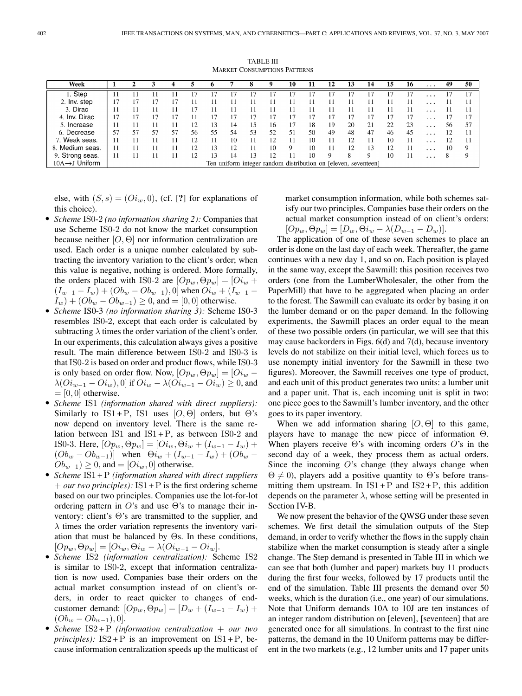| Week                        |    |                                                                |  |    |             |    |    |    |    | 10 |    | 12 |    | 14 | 15 | 16 | $\cdots$             | 49 | 50 |
|-----------------------------|----|----------------------------------------------------------------|--|----|-------------|----|----|----|----|----|----|----|----|----|----|----|----------------------|----|----|
| 1. Step                     |    |                                                                |  |    |             |    |    |    |    |    |    |    |    |    |    |    |                      |    |    |
| 2. Inv. step                |    |                                                                |  |    |             |    |    |    |    |    |    |    |    |    |    |    |                      |    |    |
| 3. Dirac                    |    |                                                                |  |    |             |    |    |    |    |    |    |    |    |    |    |    |                      |    |    |
| 4. Inv. Dirac               | 17 |                                                                |  |    |             |    |    |    |    |    |    |    |    |    |    |    |                      |    |    |
| 5. Increase                 | 11 |                                                                |  |    |             |    | 14 | 15 | 16 |    | 18 | 19 | 20 | 21 | 22 | 23 | $\cdots$             | 56 | 57 |
| 6. Decrease                 | 57 | 57                                                             |  | 57 | 56          | 55 | 54 | 53 | 52 | 51 | 50 | 49 | 48 | 47 | 46 | 45 | $\cdots$             |    |    |
| 7. Weak seas.               |    |                                                                |  |    | $1^{\circ}$ |    | 10 |    | 12 |    | 10 |    |    |    | 10 |    |                      |    |    |
| 8. Medium seas.             | 11 |                                                                |  |    |             |    | 12 |    | 10 | 9  | 10 |    |    | 13 |    |    | $\sim$ $\sim$ $\sim$ | 10 | Q  |
| 9. Strong seas.             | 11 |                                                                |  |    |             | 13 | 14 | 13 | 12 |    | 10 | Q  | 8  | Q  | 10 |    |                      |    | -9 |
| $10A \rightarrow J$ Uniform |    | Ten uniform integer random distribution on [eleven, seventeen] |  |    |             |    |    |    |    |    |    |    |    |    |    |    |                      |    |    |

TABLE III MARKET CONSUMPTIONS PATTERNS

else, with  $(S, s) = (O_i, 0)$ , (cf. [?] for explanations of this choice).

- *Scheme* IS0-2 *(no information sharing 2):* Companies that use Scheme IS0-2 do not know the market consumption because neither  $[O, \Theta]$  nor information centralization are used. Each order is a unique number calculated by subtracting the inventory variation to the client's order; when this value is negative, nothing is ordered. More formally, the orders placed with IS0-2 are  $[Op_w, \Theta p_w] = [O_i, \Theta w]$  +  $(I_{w-1} - I_w) + (Ob_w - Ob_{w-1}), 0]$  when  $Oi_w + (I_{w-1} - I_w)$
- $I_w$ ) + ( $Ob_w Ob_{w-1}$ ) ≥ 0, and = [0, 0] otherwise.<br>
 *Scheme* IS0-3 *(no information sharing 3):* Scheme IS0-3 resembles IS0-2, except that each order is calculated by subtracting  $\lambda$  times the order variation of the client's order. In our experiments, this calculation always gives a positive result. The main difference between IS0-2 and IS0-3 is that IS0-2 is based on order and product flows, while IS0-3 is only based on order flow. Now,  $[Op_w, \Theta p_w]=[Oi_w \lambda(Oi_{w-1} - Oi_w)$ , 0] if  $Oi_w - \lambda(Oi_{w-1} - Oi_w) \ge 0$ , and<br>= [0, 0] otherwise.
- Scheme IS1 *(information shared with direct suppliers):* Similarly to IS1 + P, IS1 uses  $[O, \Theta]$  orders, but  $\Theta$ 's now depend on inventory level. There is the same relation between IS1 and  $IS1 + P$ , as between IS0-2 and IS0-3. Here,  $[Op_w, \Theta p_w] = [Oi_w, \Theta i_w + (I_{w-1} - I_w) +$  $(Ob_w - Ob_{w-1})$ ] when  $\Theta i_w + (I_{w-1} - I_w) + (Ob_w Ob_{w-1} \geq 0$ , and =  $[O_i]$  otherwise.<br>
• *Scheme* IS1 + P *(information shared with direct suppliers*)
- + *our two principles):* IS1 +P is the first ordering scheme based on our two principles. Companies use the lot-for-lot ordering pattern in  $O$ 's and use  $\Theta$ 's to manage their inventory: client's  $\Theta$ 's are transmitted to the supplier, and  $\lambda$  times the order variation represents the inventory variation that must be balanced by  $\Theta$ s. In these conditions,  $[Op_w, \Theta p_w] = [O_i_w, \Theta i_w - \lambda (O_i_{w-1} - O_i_w].$  • *Scheme* IS2 *(information centralization):* Scheme IS2
- is similar to IS0-2, except that information centralization is now used. Companies base their orders on the actual market consumption instead of on client's orders, in order to react quicker to changes of endcustomer demand:  $[Op_w, \Theta p_w] = [D_w + (I_{w-1} - I_w) +$ (Ob<sup>w</sup> <sup>−</sup> Ob<sup>w</sup>−<sup>1</sup>), 0]. *Scheme* IS2 <sup>+</sup><sup>P</sup> *(information centralization* <sup>+</sup> *our two*
- *principles*):  $IS2 + P$  is an improvement on  $IS1 + P$ , because information centralization speeds up the multicast of

market consumption information, while both schemes satisfy our two principles. Companies base their orders on the actual market consumption instead of on client's orders:  $[Op_w, \Theta p_w]=[D_w, \Theta i_w - \lambda (D_{w-1}-D_w)].$ 

The application of one of these seven schemes to place an order is done on the last day of each week. Thereafter, the game continues with a new day 1, and so on. Each position is played in the same way, except the Sawmill: this position receives two orders (one from the LumberWholesaler, the other from the PaperMill) that have to be aggregated when placing an order to the forest. The Sawmill can evaluate its order by basing it on the lumber demand or on the paper demand. In the following experiments, the Sawmill places an order equal to the mean of these two possible orders (in particular, we will see that this may cause backorders in Figs. 6(d) and 7(d), because inventory levels do not stabilize on their initial level, which forces us to use nonempty initial inventory for the Sawmill in these two figures). Moreover, the Sawmill receives one type of product, and each unit of this product generates two units: a lumber unit and a paper unit. That is, each incoming unit is split in two: one piece goes to the Sawmill's lumber inventory, and the other goes to its paper inventory.

When we add information sharing  $[O, \Theta]$  to this game, players have to manage the new piece of information Θ. When players receive  $\Theta$ 's with incoming orders O's in the second day of a week, they process them as actual orders. Since the incoming  $O$ 's change (they always change when  $\Theta \neq 0$ ), players add a positive quantity to  $\Theta$ 's before transmitting them upstream. In  $IS1 + P$  and  $IS2 + P$ , this addition depends on the parameter  $\lambda$ , whose setting will be presented in Section IV-B.

We now present the behavior of the QWSG under these seven schemes. We first detail the simulation outputs of the Step demand, in order to verify whether the flows in the supply chain stabilize when the market consumption is steady after a single change. The Step demand is presented in Table III in which we can see that both (lumber and paper) markets buy 11 products during the first four weeks, followed by 17 products until the end of the simulation. Table III presents the demand over 50 weeks, which is the duration (i.e., one year) of our simulations. Note that Uniform demands 10A to 10J are ten instances of an integer random distribution on [eleven], [seventeen] that are generated once for all simulations. In contrast to the first nine patterns, the demand in the 10 Uniform patterns may be different in the two markets (e.g., 12 lumber units and 17 paper units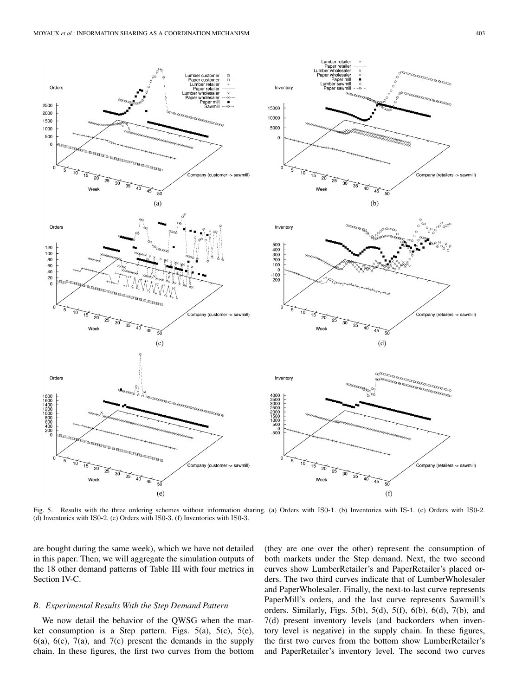

Fig. 5. Results with the three ordering schemes without information sharing. (a) Orders with IS0-1. (b) Inventories with IS-1. (c) Orders with IS0-2. (d) Inventories with IS0-2. (e) Orders with IS0-3. (f) Inventories with IS0-3.

are bought during the same week), which we have not detailed in this paper. Then, we will aggregate the simulation outputs of the 18 other demand patterns of Table III with four metrics in Section IV-C.

### *B. Experimental Results With the Step Demand Pattern*

We now detail the behavior of the QWSG when the market consumption is a Step pattern. Figs. 5(a), 5(c), 5(e), 6(a), 6(c), 7(a), and 7(c) present the demands in the supply chain. In these figures, the first two curves from the bottom (they are one over the other) represent the consumption of both markets under the Step demand. Next, the two second curves show LumberRetailer's and PaperRetailer's placed orders. The two third curves indicate that of LumberWholesaler and PaperWholesaler. Finally, the next-to-last curve represents PaperMill's orders, and the last curve represents Sawmill's orders. Similarly, Figs. 5(b), 5(d), 5(f), 6(b), 6(d), 7(b), and 7(d) present inventory levels (and backorders when inventory level is negative) in the supply chain. In these figures, the first two curves from the bottom show LumberRetailer's and PaperRetailer's inventory level. The second two curves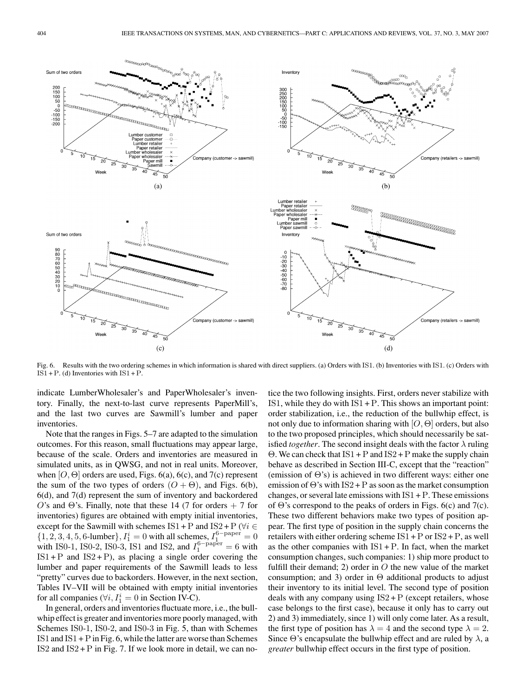

Fig. 6. Results with the two ordering schemes in which information is shared with direct suppliers. (a) Orders with IS1. (b) Inventories with IS1. (c) Orders with  $IS1 + P$ . (d) Inventories with  $IS1 + P$ .

indicate LumberWholesaler's and PaperWholesaler's inventory. Finally, the next-to-last curve represents PaperMill's, and the last two curves are Sawmill's lumber and paper inventories.

Note that the ranges in Figs. 5–7 are adapted to the simulation outcomes. For this reason, small fluctuations may appear large, because of the scale. Orders and inventories are measured in simulated units, as in QWSG, and not in real units. Moreover, when  $[O, \Theta]$  orders are used, Figs. 6(a), 6(c), and 7(c) represent the sum of the two types of orders  $(O + \Theta)$ , and Figs. 6(b), 6(d), and 7(d) represent the sum of inventory and backordered O's and  $\Theta$ 's. Finally, note that these 14 (7 for orders  $+$  7 for inventories) figures are obtained with empty initial inventories, except for the Sawmill with schemes IS1 + P and IS2 + P ( $\forall i \in$  $\{1, 2, 3, 4, 5, 6$ -lumber},  $I_1^i = 0$  with all schemes,  $I_1^{6-\text{paper}} = 0$ with IS0-1, IS0-2, IS0-3, IS1 and IS2, and  $I_1^{6-paper} = 6$  with  $IS1 + P$  and  $IS2 + P$ ), as placing a single order covering the lumber and paper requirements of the Sawmill leads to less "pretty" curves due to backorders. However, in the next section, Tables IV–VII will be obtained with empty initial inventories for all companies ( $\forall i, I_1^i = 0$  in Section IV-C).

In general, orders and inventories fluctuate more, i.e., the bullwhip effect is greater and inventories more poorly managed, with Schemes IS0-1, IS0-2, and IS0-3 in Fig. 5, than with Schemes IS1 and  $IS1 + P$  in Fig. 6, while the latter are worse than Schemes IS2 and  $IS2 + P$  in Fig. 7. If we look more in detail, we can notice the two following insights. First, orders never stabilize with IS1, while they do with  $IS1 + P$ . This shows an important point: order stabilization, i.e., the reduction of the bullwhip effect, is not only due to information sharing with  $[O, \Theta]$  orders, but also to the two proposed principles, which should necessarily be satisfied *together*. The second insight deals with the factor  $\lambda$  ruling  $\Theta$ . We can check that IS1 + P and IS2 + P make the supply chain behave as described in Section III-C, except that the "reaction" (emission of  $\Theta$ 's) is achieved in two different ways: either one emission of  $\Theta$ 's with IS2 + P as soon as the market consumption changes, or several late emissions with  $IS1 + P$ . These emissions of  $\Theta$ 's correspond to the peaks of orders in Figs. 6(c) and 7(c). These two different behaviors make two types of position appear. The first type of position in the supply chain concerns the retailers with either ordering scheme  $IS1 + P$  or  $IS2 + P$ , as well as the other companies with  $IS1 + P$ . In fact, when the market consumption changes, such companies: 1) ship more product to fulfill their demand; 2) order in  $O$  the new value of the market consumption; and 3) order in  $\Theta$  additional products to adjust their inventory to its initial level. The second type of position deals with any company using  $IS2 + P$  (except retailers, whose case belongs to the first case), because it only has to carry out 2) and 3) immediately, since 1) will only come later. As a result, the first type of position has  $\lambda = 4$  and the second type  $\lambda = 2$ . Since  $\Theta$ 's encapsulate the bullwhip effect and are ruled by  $\lambda$ , a *greater* bullwhip effect occurs in the first type of position.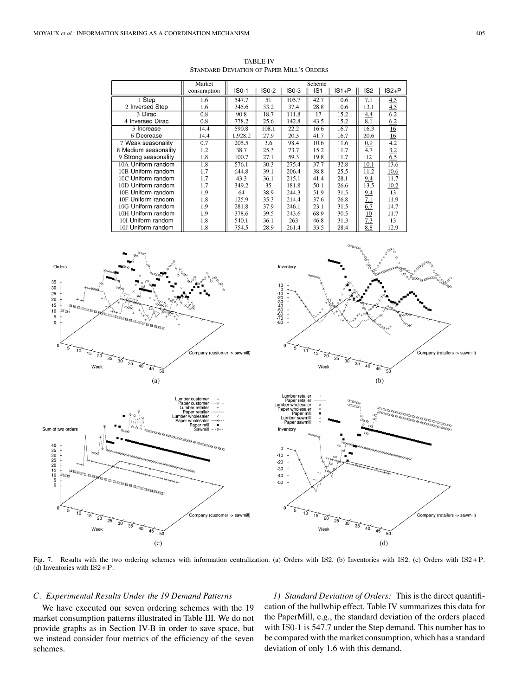Market Scheme  $ISO-1$  $ISO-2$  $ISO-3$ IS1  $IS1+P$ IS<sub>2</sub>  $IS2+P$ consumption  $1$  Step  $547.7$  $\overline{51}$  $105.7$ 42.7  $10.6$  $\overline{7.1}$  $\frac{4.5}{4.5}$  $\overline{1.6}$ 2 Inversed Step 345.6 33.2 37.4 28.8 10.6 13.1 1.6 3 Dirac  $0.8$ 90.8 18.7 111.8  $\overline{17}$ 15.2  $\frac{4.4}{8.1}$  $6.2$ 4 Inversed Dirac  $0.8$ 778.2 25.6 142.8 43.5 15.2  $6.2$ 5 Increase 14.4 590.8 108.1  $22.2$ 16.6 16.7 16.3  $\frac{16}{2}$ 1.928.2 20.3 20.6  $\frac{16}{4.2}$ 6 Decrease  $14.4$ 27.9 41.7 16.7 7 Weak seasonality  $0.7$ 205.5 3.6  $98.4$ 10.6 11.6  $0.9$  $\frac{3.2}{6.5}$ 8 Medium seasonality  $1.2$ 38.7  $25.3$ 73.7 15.2  $11.7\,$ 4.7 9 Strong seasonality  $1.8\,$ 100.7 27.1 59.3 19.8 11.7 12 10A Uniform random 576.1  $\overline{30.3}$  $275.4$  $\overline{37.7}$  $32.8$ 13.6  $\overline{1.8}$  $10.1$ 10B Uniform random  $1.7$ 644.8 39.1 206.4 38.8 25.5 11.2  $10.6$ 10C Uniform random  $1.7\,$ 43.3 36.1 215.1 28.1  $\overline{11.7}$ 41.4  $9.4$ 10D Uniform random 1.7 349.2 35 181.8 26.6  $13.5$ 50.1  $10.2$ 10E Uniform random 1.9 38.9 244.3 31.5  $9.4$  $\overline{13}$ 64 51.9 10F Uniform random 125.9 35.3 214.4  $\overline{7.1}$ 11.9  $1.8\,$ 37.6 26.8 10G Uniform random 1.9 281.8 37.9 246.1 23.1 31.5  $6.7$ 14.7 10H Uniform random 1.9 378.6 39.5 243.6 68.9  $30.5$  $\overline{10}$ 11.7 10I Uniform random 540.1 36.1 263 31.3  $\overline{7.3}$  $1.8\,$ 46.8 13 10J Uniform random 1.8 754.5 28.9 261.4 33.5 28.4 12.9

TABLE IV STANDARD DEVIATION OF PAPER MILL'S ORDERS



Fig. 7. Results with the two ordering schemes with information centralization. (a) Orders with IS2. (b) Inventories with IS2. (c) Orders with IS2+ P. (d) Inventories with  $IS2 + P$ .

## *C. Experimental Results Under the 19 Demand Patterns*

We have executed our seven ordering schemes with the 19 market consumption patterns illustrated in Table III. We do not provide graphs as in Section IV-B in order to save space, but we instead consider four metrics of the efficiency of the seven schemes.

*1) Standard Deviation of Orders:* This is the direct quantification of the bullwhip effect. Table IV summarizes this data for the PaperMill, e.g., the standard deviation of the orders placed with IS0-1 is 547.7 under the Step demand. This number has to be compared with the market consumption, which has a standard deviation of only 1.6 with this demand.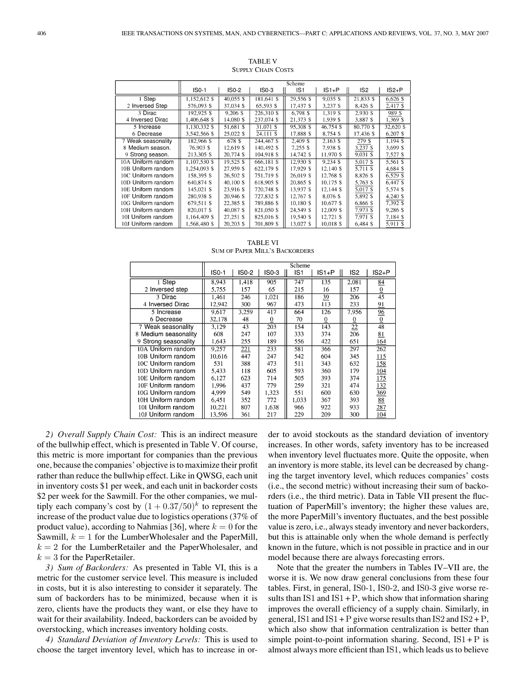|                    | $ISO-1$      | IS0-2      | $ISO-3$     | Scheme<br>IS <sub>1</sub> | $IS1+P$    | IS <sub>2</sub> | $IS2+P$    |
|--------------------|--------------|------------|-------------|---------------------------|------------|-----------------|------------|
|                    |              |            |             |                           |            |                 |            |
| 1 Step             | 1,152,612 \$ | 40,055 \$  | 181,641 \$  | 29,556 \$                 | 9,035 S    | 21,833 \$       | 6,626 \$   |
| 2 Inversed Step    | 576,093 \$   | 37.034 \$  | 65,593 \$   | 17,437 \$                 | 3,237 S    | 8,426 \$        | 2,417 \$   |
| 3 Dirac            | 192,925 \$   | $9,206$ \$ | 226.310 \$  | 6.798S                    | 1.319 \$   | 2.930 S         | 989 S      |
| 4 Inversed Dirac   | 1,406,648 \$ | 14.080 \$  | 237,074 \$  | 21,373 \$                 | 1,939 \$   | 3,887 S         | 1,369 \$   |
| 5 Increase         | 1,130,332 \$ | 51,681 \$  | 31,071 \$   | 95,308 \$                 | 46,754 \$  | 80,770 \$       | 32,620 \$  |
| 6 Decrease         | 3,542,566 \$ | 25,022 \$  | $24,111$ \$ | 17,888 \$                 | 8,754 \$   | 17,436 \$       | 6,207 \$   |
| 7 Weak seasonality | 182,966 \$   | 678 \$     | 244,467 \$  | 2.409 \$                  | 2.163 \$   | 279 \$          | $1.194$ \$ |
| 8 Medium season.   | 76,903 \$    | 12,619 \$  | 140,492 \$  | 7.255 \$                  | 7.938 \$   | 3,237 S         | 3,699 \$   |
| 9 Strong season.   | 213,305 \$   | 20.774 \$  | 104,918 \$  | 14,742 \$                 | 11,970 \$  | 9.031 S         | 7,527 \$   |
| 10A Uniform random | 1,107,530 \$ | 19.525 \$  | 666,181 \$  | 12,930 \$                 | $9,234$ \$ | 5,017 S         | 5,561 \$   |
| 10B Uniform random | 1.254.093 \$ | 27.959 \$  | 622,179 \$  | 17,929 \$                 | 12.140 \$  | 5.711 S         | 4,684 \$   |
| 10C Uniform random | 158,395 \$   | 26.502 \$  | 751.719 \$  | 26,019 \$                 | 12.768 \$  | 8,826 S         | 6.529 \$   |
| 10D Uniform random | 640,874 \$   | 40,100 \$  | 618,905 \$  | 20,865 \$                 | 10.175 \$  | 5,763 S         | 6.447 \$   |
| 10E Uniform random | 145,021 \$   | 23.916 \$  | 720.748 \$  | 13.937 \$                 | 12.144 \$  | 5,017 \$        | 5.574 \$   |
| 10F Uniform random | 280.938 \$   | 20.946 \$  | 727.832 \$  | 12,767 \$                 | 8,076 \$   | 5,892 \$        | 4,240 \$   |
| 10G Uniform random | 679,511 \$   | 22,385 \$  | 789,886 \$  | $10,180$ \$               | 10.677 \$  | 6,866 S         | $7,392$ \$ |
| 10H Uniform random | 820,017 \$   | 40,087 \$  | 821,050 \$  | 24,549 \$                 | 12,009 \$  | 7,973 S         | 9,286 \$   |
| 10I Uniform random | 1,164,409 \$ | 27,251 \$  | 825,016 \$  | 19,540 \$                 | 12,721 \$  | 7,971 S         | 7,184\$    |
| 10J Uniform random | 1,568,480 \$ | 20,203 \$  | 701,809 \$  | 13,027 \$                 | 10,018 \$  | 6,484 S         | 5,911 \$   |

TARI F V SUPPLY CHAIN COSTS

TABLE VI SUM OF PAPER MILL'S BACKORDERS

|                      | Scheme |                 |          |       |                  |       |                 |  |  |  |
|----------------------|--------|-----------------|----------|-------|------------------|-------|-----------------|--|--|--|
|                      | IS0-1  | IS0-2           | IS0-3    | IS1   | $IS1 + P$        | IS2   | IS2+P           |  |  |  |
| 1 Step               | 8.943  | 1,418           | 905      | 747   | 135              | 2,081 | 84              |  |  |  |
| 2 Inversed step      | 5.755  | 157             | 65       | 215   | 16               | 157   | $\underline{0}$ |  |  |  |
| 3 Dirac              | 1.461  | 246             | 1.021    | 186   | $\underline{39}$ | 206   | $\overline{45}$ |  |  |  |
| 4 Inversed Dirac     | 12,942 | 300             | 967      | 473   | 113              | 233   | $\overline{91}$ |  |  |  |
| 5 Increase           | 9.617  | 3,259           | 417      | 664   | 126              | 7.956 | <u>96</u>       |  |  |  |
| 6 Decrease           | 32.178 | 48              | $\Omega$ | 70    | $\overline{0}$   | 0     | $\overline{0}$  |  |  |  |
| 7 Weak seasonality   | 3.129  | 43              | 203      | 154   | 143              | 22    | 48              |  |  |  |
| 8 Medium seasonality | 608    | 247             | 107      | 333   | 374              | 206   | 81              |  |  |  |
| 9 Strong seasonality | 1,643  | 255             | 189      | 556   | 422              | 651   | 164             |  |  |  |
| 10A Uniform random   | 9.257  | $\frac{221}{2}$ | 233      | 581   | 366              | 297   | 262             |  |  |  |
| 10B Uniform random   | 10.616 | 447             | 247      | 542   | 604              | 345   | 115             |  |  |  |
| 10C Uniform random   | 531    | 388             | 473      | 511   | 343              | 632   | 158             |  |  |  |
| 10D Uniform random   | 5.433  | 118             | 605      | 593   | 360              | 179   | 104             |  |  |  |
| 10E Uniform random   | 6.127  | 623             | 714      | 505   | 393              | 374   | 175             |  |  |  |
| 10F Uniform random   | 1.996  | 437             | 779      | 259   | 321              | 474   | 132             |  |  |  |
| 10G Uniform random   | 4,999  | 549             | 1,323    | 551   | 600              | 630   | $\frac{369}{ }$ |  |  |  |
| 10H Uniform random   | 6.451  | 352             | 772      | 1.033 | 367              | 393   | $\frac{88}{5}$  |  |  |  |
| 101 Uniform random   | 10,221 | 807             | 1,638    | 966   | 922              | 933   | 287             |  |  |  |
| 101 Uniform random   | 13 596 | 361             | 217      | 229   | 209              | 300   | 104             |  |  |  |

*2) Overall Supply Chain Cost:* This is an indirect measure of the bullwhip effect, which is presented in Table V. Of course, this metric is more important for companies than the previous one, because the companies' objective is to maximize their profit rather than reduce the bullwhip effect. Like in QWSG, each unit in inventory costs \$1 per week, and each unit in backorder costs \$2 per week for the Sawmill. For the other companies, we multiply each company's cost by  $(1 + 0.37/50)^k$  to represent the increase of the product value due to logistics operations (37% of product value), according to Nahmias [36], where  $k = 0$  for the Sawmill,  $k = 1$  for the LumberWholesaler and the PaperMill,  $k = 2$  for the LumberRetailer and the PaperWholesaler, and  $k = 3$  for the PaperRetailer.

*3) Sum of Backorders:* As presented in Table VI, this is a metric for the customer service level. This measure is included in costs, but it is also interesting to consider it separately. The sum of backorders has to be minimized, because when it is zero, clients have the products they want, or else they have to wait for their availability. Indeed, backorders can be avoided by overstocking, which increases inventory holding costs.

*4) Standard Deviation of Inventory Levels:* This is used to choose the target inventory level, which has to increase in order to avoid stockouts as the standard deviation of inventory increases. In other words, safety inventory has to be increased when inventory level fluctuates more. Quite the opposite, when an inventory is more stable, its level can be decreased by changing the target inventory level, which reduces companies' costs (i.e., the second metric) without increasing their sum of backorders (i.e., the third metric). Data in Table VII present the fluctuation of PaperMill's inventory; the higher these values are, the more PaperMill's inventory fluctuates, and the best possible value is zero, i.e., always steady inventory and never backorders, but this is attainable only when the whole demand is perfectly known in the future, which is not possible in practice and in our model because there are always forecasting errors.

Note that the greater the numbers in Tables IV–VII are, the worse it is. We now draw general conclusions from these four tables. First, in general, IS0-1, IS0-2, and IS0-3 give worse results than IS1 and  $IS1 + P$ , which show that information sharing improves the overall efficiency of a supply chain. Similarly, in general, IS1 and IS1 + P give worse results than IS2 and IS2 + P, which also show that information centralization is better than simple point-to-point information sharing. Second,  $IS1 + P$  is almost always more efficient than IS1, which leads us to believe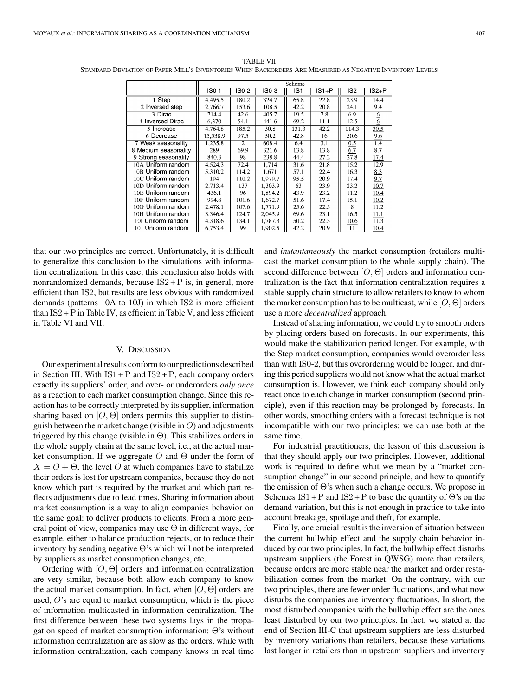TABLE VII STANDARD DEVIATION OF PAPER MILL'S INVENTORIES WHEN BACKORDERS ARE MEASURED AS NEGATIVE INVENTORY LEVELS

|                      | Scheme   |                          |         |                 |         |                 |                   |  |  |  |
|----------------------|----------|--------------------------|---------|-----------------|---------|-----------------|-------------------|--|--|--|
|                      | $ISO-1$  | $ISO-2$                  | $ISO-3$ | IS <sub>1</sub> | $IS1+P$ | IS <sub>2</sub> | $IS2+P$           |  |  |  |
| 1 Step               | 4,495.5  | 180.2                    | 324.7   | 65.8            | 22.8    | 23.9            | 14.4              |  |  |  |
| 2 Inversed step      | 2,766.7  | 153.6                    | 108.5   | 42.2            | 20.8    | 24.1            | 9,4               |  |  |  |
| 3 Dirac              | 714.4    | 42.6                     | 405.7   | 19.5            | 7.8     | 6.9             | $\overline{6}$    |  |  |  |
| 4 Inversed Dirac     | 6,370    | 54.1                     | 441.6   | 69.2            | 11.1    | 12.5            | $\overline{6}$    |  |  |  |
| $5$ Increase         | 4,764.8  | 185.2                    | 30.8    | 131.3           | 42.2    | 114.3           | 30.5              |  |  |  |
| 6 Decrease           | 15,538.9 | 97.5                     | 30.2    | 42.8            | 16      | 50.6            | 9.6               |  |  |  |
| 7 Weak seasonality   | 1.235.8  | $\overline{\mathcal{L}}$ | 608.4   | 6.4             | 3.1     | 0.5             | 1.4               |  |  |  |
| 8 Medium seasonality | 289      | 69.9                     | 321.6   | 13.8            | 13.8    | 6.7             | 8.7               |  |  |  |
| 9 Strong seasonality | 840.3    | 98                       | 238.8   | 44.4            | 27.2    | 27.8            | 17.4              |  |  |  |
| 10A Uniform random   | 4,524.3  | 72.4                     | 1.714   | 31.6            | 21.8    | 15.2            | 12.9              |  |  |  |
| 10B Uniform random   | 5.310.2  | 114.2                    | 1.671   | 57.1            | 22.4    | 16.3            | $\frac{8.3}{9.7}$ |  |  |  |
| 10C Uniform random   | 194      | 110.2                    | 1.979.7 | 95.5            | 20.9    | 17.4            |                   |  |  |  |
| 10D Uniform random   | 2.713.4  | 137                      | 1.303.9 | 63              | 23.9    | 23.2            | $\frac{10.7}{2}$  |  |  |  |
| 10E Uniform random   | 436.1    | 96                       | 1,894.2 | 43.9            | 23.2    | 11.2            | 10.4              |  |  |  |
| 10F Uniform random   | 994.8    | 101.6                    | 1,672.7 | 51.6            | 17.4    | 15.1            | 10.2              |  |  |  |
| 10G Uniform random   | 2,478.1  | 107.6                    | 1,771.9 | 25.6            | 22.5    | $\overline{8}$  | 11.2              |  |  |  |
| 10H Uniform random   | 3,346.4  | 124.7                    | 2,045.9 | 69.6            | 23.1    | 16.5            | <u>11.1</u>       |  |  |  |
| 10I Uniform random   | 4.318.6  | 134.1                    | 1,787.3 | 50.2            | 22.3    | 10.6            | $\overline{11.3}$ |  |  |  |
| 10J Uniform random   | 6.753.4  | 99                       | 1.902.5 | 42.2            | 20.9    | 11              | 10.4              |  |  |  |

that our two principles are correct. Unfortunately, it is difficult to generalize this conclusion to the simulations with information centralization. In this case, this conclusion also holds with nonrandomized demands, because  $IS2 + P$  is, in general, more efficient than IS2, but results are less obvious with randomized demands (patterns 10A to 10J) in which IS2 is more efficient than  $IS2 + P$  in Table IV, as efficient in Table V, and less efficient in Table VI and VII.

#### V. DISCUSSION

Our experimental results conform to our predictions described in Section III. With  $IS1 + P$  and  $IS2 + P$ , each company orders exactly its suppliers' order, and over- or underorders *only once* as a reaction to each market consumption change. Since this reaction has to be correctly interpreted by its supplier, information sharing based on  $[O, \Theta]$  orders permits this supplier to distinguish between the market change (visible in  $O$ ) and adjustments triggered by this change (visible in  $\Theta$ ). This stabilizes orders in the whole supply chain at the same level, i.e., at the actual market consumption. If we aggregate  $O$  and  $\Theta$  under the form of  $X = O + \Theta$ , the level O at which companies have to stabilize their orders is lost for upstream companies, because they do not know which part is required by the market and which part reflects adjustments due to lead times. Sharing information about market consumption is a way to align companies behavior on the same goal: to deliver products to clients. From a more general point of view, companies may use  $\Theta$  in different ways, for example, either to balance production rejects, or to reduce their inventory by sending negative  $\Theta$ 's which will not be interpreted by suppliers as market consumption changes, etc.

Ordering with  $[O, \Theta]$  orders and information centralization are very similar, because both allow each company to know the actual market consumption. In fact, when  $[O, \Theta]$  orders are used,  $O$ 's are equal to market consumption, which is the piece of information multicasted in information centralization. The first difference between these two systems lays in the propagation speed of market consumption information: Θ's without information centralization are as slow as the orders, while with information centralization, each company knows in real time

and *instantaneously* the market consumption (retailers multicast the market consumption to the whole supply chain). The second difference between  $[O, \Theta]$  orders and information centralization is the fact that information centralization requires a stable supply chain structure to allow retailers to know to whom the market consumption has to be multicast, while  $[O, \Theta]$  orders use a more *decentralized* approach.

Instead of sharing information, we could try to smooth orders by placing orders based on forecasts. In our experiments, this would make the stabilization period longer. For example, with the Step market consumption, companies would overorder less than with IS0-2, but this overordering would be longer, and during this period suppliers would not know what the actual market consumption is. However, we think each company should only react once to each change in market consumption (second principle), even if this reaction may be prolonged by forecasts. In other words, smoothing orders with a forecast technique is not incompatible with our two principles: we can use both at the same time.

For industrial practitioners, the lesson of this discussion is that they should apply our two principles. However, additional work is required to define what we mean by a "market consumption change" in our second principle, and how to quantify the emission of  $\Theta$ 's when such a change occurs. We propose in Schemes IS1 + P and IS2 + P to base the quantity of  $\Theta$ 's on the demand variation, but this is not enough in practice to take into account breakage, spoilage and theft, for example.

Finally, one crucial result is the inversion of situation between the current bullwhip effect and the supply chain behavior induced by our two principles. In fact, the bullwhip effect disturbs upstream suppliers (the Forest in QWSG) more than retailers, because orders are more stable near the market and order restabilization comes from the market. On the contrary, with our two principles, there are fewer order fluctuations, and what now disturbs the companies are inventory fluctuations. In short, the most disturbed companies with the bullwhip effect are the ones least disturbed by our two principles. In fact, we stated at the end of Section III-C that upstream suppliers are less disturbed by inventory variations than retailers, because these variations last longer in retailers than in upstream suppliers and inventory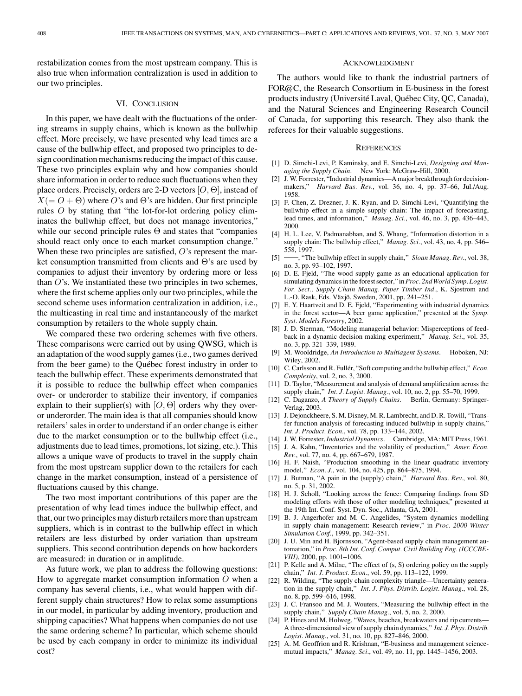restabilization comes from the most upstream company. This is also true when information centralization is used in addition to our two principles.

## VI. CONCLUSION

In this paper, we have dealt with the fluctuations of the ordering streams in supply chains, which is known as the bullwhip effect. More precisely, we have presented why lead times are a cause of the bullwhip effect, and proposed two principles to design coordination mechanisms reducing the impact of this cause. These two principles explain why and how companies should share information in order to reduce such fluctuations when they place orders. Precisely, orders are 2-D vectors [O, Θ], instead of  $X(= O + \Theta)$  where O's and  $\Theta$ 's are hidden. Our first principle rules O by stating that "the lot-for-lot ordering policy eliminates the bullwhip effect, but does not manage inventories," while our second principle rules  $\Theta$  and states that "companies" should react only once to each market consumption change." When these two principles are satisfied,  $O$ 's represent the market consumption transmitted from clients and  $\Theta$ 's are used by companies to adjust their inventory by ordering more or less than  $O$ 's. We instantiated these two principles in two schemes, where the first scheme applies only our two principles, while the second scheme uses information centralization in addition, i.e., the multicasting in real time and instantaneously of the market consumption by retailers to the whole supply chain.

We compared these two ordering schemes with five others. These comparisons were carried out by using QWSG, which is an adaptation of the wood supply games (i.e., two games derived from the beer game) to the Québec forest industry in order to teach the bullwhip effect. These experiments demonstrated that it is possible to reduce the bullwhip effect when companies over- or underorder to stabilize their inventory, if companies explain to their supplier(s) with  $[O, \Theta]$  orders why they overor underorder. The main idea is that all companies should know retailers' sales in order to understand if an order change is either due to the market consumption or to the bullwhip effect (i.e., adjustments due to lead times, promotions, lot sizing, etc.). This allows a unique wave of products to travel in the supply chain from the most upstream supplier down to the retailers for each change in the market consumption, instead of a persistence of fluctuations caused by this change.

The two most important contributions of this paper are the presentation of why lead times induce the bullwhip effect, and that, our two principles may disturb retailers more than upstream suppliers, which is in contrast to the bullwhip effect in which retailers are less disturbed by order variation than upstream suppliers. This second contribution depends on how backorders are measured: in duration or in amplitude.

As future work, we plan to address the following questions: How to aggregate market consumption information  $O$  when a company has several clients, i.e., what would happen with different supply chain structures? How to relax some assumptions in our model, in particular by adding inventory, production and shipping capacities? What happens when companies do not use the same ordering scheme? In particular, which scheme should be used by each company in order to minimize its individual cost?

#### ACKNOWLEDGMENT

The authors would like to thank the industrial partners of FOR@C, the Research Consortium in E-business in the forest products industry (Université Laval, Québec City, QC, Canada), and the Natural Sciences and Engineering Research Council of Canada, for supporting this research. They also thank the referees for their valuable suggestions.

#### **REFERENCES**

- [1] D. Simchi-Levi, P. Kaminsky, and E. Simchi-Levi, *Designing and Managing the Supply Chain*. New York: McGraw-Hill, 2000.
- [2] J. W. Forrester, "Industrial dynamics—A major breakthrough for decisionmakers," *Harvard Bus. Rev.*, vol. 36, no. 4, pp. 37–66, Jul./Aug. 1958.
- [3] F. Chen, Z. Drezner, J. K. Ryan, and D. Simchi-Levi, "Quantifying the bullwhip effect in a simple supply chain: The impact of forecasting, lead times, and information," *Manag. Sci.*, vol. 46, no. 3, pp. 436–443, 2000.
- [4] H. L. Lee, V. Padmanabhan, and S. Whang, "Information distortion in a supply chain: The bullwhip effect," *Manag. Sci.*, vol. 43, no. 4, pp. 546– 558, 1997.
- [5] -, "The bullwhip effect in supply chain," *Sloan Manag. Rev.*, vol. 38, no. 3, pp. 93–102, 1997.
- [6] D. E. Fjeld, "The wood supply game as an educational application for simulating dynamics in the forest sector," in *Proc. 2nd World Symp. Logist. For. Sect., Supply Chain Manag. Paper Timber Ind.*, K. Sjostrom and L.-O. Rask, Eds. Växjö, Sweden, 2001, pp. 241–251.
- [7] E. Y. Haartveit and D. E. Fjeld, "Experimenting with industrial dynamics in the forest sector—A beer game application," presented at the *Symp. Syst. Models Forestry*, 2002.
- [8] J. D. Sterman, "Modeling managerial behavior: Misperceptions of feedback in a dynamic decision making experiment," *Manag. Sci.*, vol. 35, no. 3, pp. 321–339, 1989.
- [9] M. Wooldridge, *An Introduction to Multiagent Systems*. Hoboken, NJ: Wiley, 2002.
- [10] C. Carlsson and R. Fullér, "Soft computing and the bullwhip effect," *Econ*. *Complexity*, vol. 2, no. 3, 2000.
- [11] D. Taylor, "Measurement and analysis of demand amplification across the supply chain," *Int. J. Logist. Manag.*, vol. 10, no. 2, pp. 55–70, 1999.
- [12] C. Daganzo, *A Theory of Supply Chains*. Berlin, Germany: Springer-Verlag, 2003.
- [13] J. Dejonckheere, S. M. Disney, M. R. Lambrecht, and D. R. Towill, "Transfer function analysis of forecasting induced bullwhip in supply chains," *Int. J. Product. Econ.*, vol. 78, pp. 133–144, 2002.
- [14] J. W. Forrester,*Industrial Dynamics*. Cambridge, MA: MIT Press, 1961.
- [15] J. A. Kahn, "Inventories and the volatility of production," *Amer. Econ. Rev.*, vol. 77, no. 4, pp. 667–679, 1987.
- [16] H. F. Naish, "Production smoothing in the linear quadratic inventory model," *Econ. J.*, vol. 104, no. 425, pp. 864–875, 1994.
- [17] J. Butman, "A pain in the (supply) chain," *Harvard Bus. Rev.*, vol. 80, no. 5, p. 31, 2002.
- [18] H. J. Scholl, "Looking across the fence: Comparing findings from SD modeling efforts with those of other modeling techniques," presented at the 19th Int. Conf. Syst. Dyn. Soc., Atlanta, GA, 2001.
- [19] B. J. Angerhofer and M. C. Angelides, "System dynamics modelling in supply chain management: Research review," in *Proc. 2000 Winter Simulation Conf.*, 1999, pp. 342–351.
- [20] J. U. Min and H. Bjornsson, "Agent-based supply chain management automation," in *Proc. 8th Int. Conf. Comput. Civil Building Eng. (ICCCBE-VIII)*, 2000, pp. 1001–1006.
- [21] P. Kelle and A. Milne, "The effect of  $(s, S)$  ordering policy on the supply chain," *Int. J. Product. Econ.*, vol. 59, pp. 113–122, 1999.
- [22] R. Wilding, "The supply chain complexity triangle—Uncertainty generation in the supply chain," *Int. J. Phys. Distrib. Logist. Manag.*, vol. 28, no. 8, pp. 599–616, 1998.
- [23] J. C. Fransoo and M. J. Wouters, "Measuring the bullwhip effect in the supply chain," *Supply Chain Manag.*, vol. 5, no. 2, 2000.
- [24] P. Hines and M. Holweg, "Waves, beaches, breakwaters and rip currents— A three-dimensional view of supply chain dynamics," *Int. J. Phys. Distrib. Logist. Manag.*, vol. 31, no. 10, pp. 827–846, 2000.
- [25] A. M. Geoffrion and R. Krishnan, "E-business and management sciencemutual impacts," *Manag. Sci.*, vol. 49, no. 11, pp. 1445–1456, 2003.